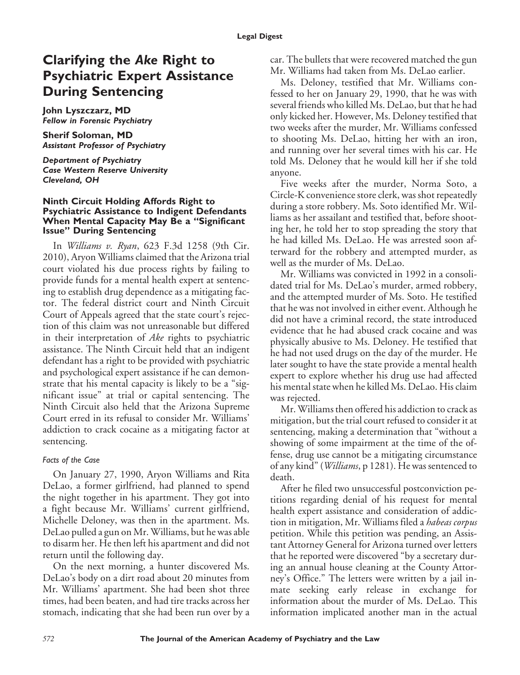# **Clarifying the** *Ake* **Right to Psychiatric Expert Assistance During Sentencing**

**John Lyszczarz, MD** *Fellow in Forensic Psychiatry*

**Sherif Soloman, MD** *Assistant Professor of Psychiatry*

*Department of Psychiatry Case Western Reserve University Cleveland, OH*

#### **Ninth Circuit Holding Affords Right to Psychiatric Assistance to Indigent Defendants When Mental Capacity May Be a "Significant Issue" During Sentencing**

In *Williams v. Ryan*, 623 F.3d 1258 (9th Cir. 2010), Aryon Williams claimed that the Arizona trial court violated his due process rights by failing to provide funds for a mental health expert at sentencing to establish drug dependence as a mitigating factor. The federal district court and Ninth Circuit Court of Appeals agreed that the state court's rejection of this claim was not unreasonable but differed in their interpretation of *Ake* rights to psychiatric assistance. The Ninth Circuit held that an indigent defendant has a right to be provided with psychiatric and psychological expert assistance if he can demonstrate that his mental capacity is likely to be a "significant issue" at trial or capital sentencing. The Ninth Circuit also held that the Arizona Supreme Court erred in its refusal to consider Mr. Williams' addiction to crack cocaine as a mitigating factor at sentencing.

### *Facts of the Case*

On January 27, 1990, Aryon Williams and Rita DeLao, a former girlfriend, had planned to spend the night together in his apartment. They got into a fight because Mr. Williams' current girlfriend, Michelle Deloney, was then in the apartment. Ms. DeLao pulled a gun on Mr. Williams, but he was able to disarm her. He then left his apartment and did not return until the following day.

On the next morning, a hunter discovered Ms. DeLao's body on a dirt road about 20 minutes from Mr. Williams' apartment. She had been shot three times, had been beaten, and had tire tracks across her stomach, indicating that she had been run over by a

car. The bullets that were recovered matched the gun Mr. Williams had taken from Ms. DeLao earlier.

Ms. Deloney, testified that Mr. Williams confessed to her on January 29, 1990, that he was with several friends who killed Ms. DeLao, but that he had only kicked her. However, Ms. Deloney testified that two weeks after the murder, Mr. Williams confessed to shooting Ms. DeLao, hitting her with an iron, and running over her several times with his car. He told Ms. Deloney that he would kill her if she told anyone.

Five weeks after the murder, Norma Soto, a Circle-K convenience store clerk, was shot repeatedly during a store robbery. Ms. Soto identified Mr. Williams as her assailant and testified that, before shooting her, he told her to stop spreading the story that he had killed Ms. DeLao. He was arrested soon afterward for the robbery and attempted murder, as well as the murder of Ms. DeLao.

Mr. Williams was convicted in 1992 in a consolidated trial for Ms. DeLao's murder, armed robbery, and the attempted murder of Ms. Soto. He testified that he was not involved in either event. Although he did not have a criminal record, the state introduced evidence that he had abused crack cocaine and was physically abusive to Ms. Deloney. He testified that he had not used drugs on the day of the murder. He later sought to have the state provide a mental health expert to explore whether his drug use had affected his mental state when he killed Ms. DeLao. His claim was rejected.

Mr. Williams then offered his addiction to crack as mitigation, but the trial court refused to consider it at sentencing, making a determination that "without a showing of some impairment at the time of the offense, drug use cannot be a mitigating circumstance of any kind" (*Williams*, p 1281). He was sentenced to death.

After he filed two unsuccessful postconviction petitions regarding denial of his request for mental health expert assistance and consideration of addiction in mitigation, Mr. Williams filed a *habeas corpus* petition. While this petition was pending, an Assistant Attorney General for Arizona turned over letters that he reported were discovered "by a secretary during an annual house cleaning at the County Attorney's Office." The letters were written by a jail inmate seeking early release in exchange for information about the murder of Ms. DeLao. This information implicated another man in the actual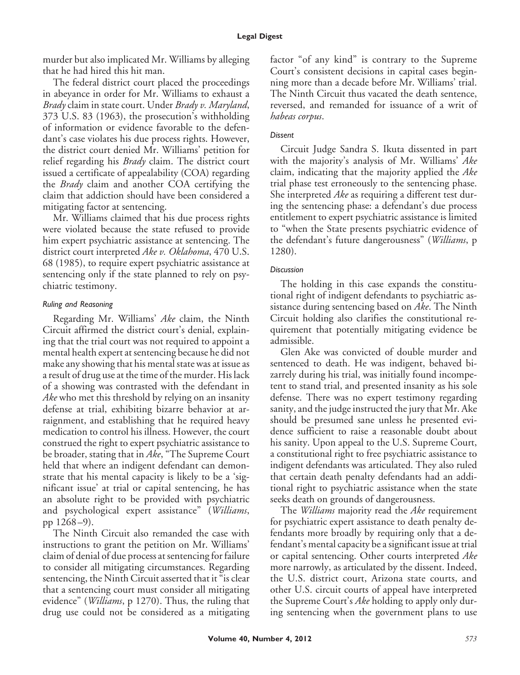murder but also implicated Mr. Williams by alleging that he had hired this hit man.

The federal district court placed the proceedings in abeyance in order for Mr. Williams to exhaust a *Brady* claim in state court. Under *Brady v. Maryland*, 373 U.S. 83 (1963), the prosecution's withholding of information or evidence favorable to the defendant's case violates his due process rights. However, the district court denied Mr. Williams' petition for relief regarding his *Brady* claim. The district court issued a certificate of appealability (COA) regarding the *Brady* claim and another COA certifying the claim that addiction should have been considered a mitigating factor at sentencing.

Mr. Williams claimed that his due process rights were violated because the state refused to provide him expert psychiatric assistance at sentencing. The district court interpreted *Ake v. Oklahoma*, 470 U.S. 68 (1985), to require expert psychiatric assistance at sentencing only if the state planned to rely on psychiatric testimony.

### *Ruling and Reasoning*

Regarding Mr. Williams' *Ake* claim, the Ninth Circuit affirmed the district court's denial, explaining that the trial court was not required to appoint a mental health expert at sentencing because he did not make any showing that his mental state was at issue as a result of drug use at the time of the murder. His lack of a showing was contrasted with the defendant in *Ake* who met this threshold by relying on an insanity defense at trial, exhibiting bizarre behavior at arraignment, and establishing that he required heavy medication to control his illness. However, the court construed the right to expert psychiatric assistance to be broader, stating that in *Ake*, "The Supreme Court held that where an indigent defendant can demonstrate that his mental capacity is likely to be a 'significant issue' at trial or capital sentencing, he has an absolute right to be provided with psychiatric and psychological expert assistance" (*Williams*, pp 1268 –9).

The Ninth Circuit also remanded the case with instructions to grant the petition on Mr. Williams' claim of denial of due process at sentencing for failure to consider all mitigating circumstances. Regarding sentencing, the Ninth Circuit asserted that it "is clear that a sentencing court must consider all mitigating evidence" (*Williams*, p 1270). Thus, the ruling that drug use could not be considered as a mitigating factor "of any kind" is contrary to the Supreme Court's consistent decisions in capital cases beginning more than a decade before Mr. Williams' trial. The Ninth Circuit thus vacated the death sentence, reversed, and remanded for issuance of a writ of *habeas corpus*.

## *Dissent*

Circuit Judge Sandra S. Ikuta dissented in part with the majority's analysis of Mr. Williams' *Ake* claim, indicating that the majority applied the *Ake* trial phase test erroneously to the sentencing phase. She interpreted *Ake* as requiring a different test during the sentencing phase: a defendant's due process entitlement to expert psychiatric assistance is limited to "when the State presents psychiatric evidence of the defendant's future dangerousness" (*Williams*, p 1280).

## *Discussion*

The holding in this case expands the constitutional right of indigent defendants to psychiatric assistance during sentencing based on *Ake*. The Ninth Circuit holding also clarifies the constitutional requirement that potentially mitigating evidence be admissible.

Glen Ake was convicted of double murder and sentenced to death. He was indigent, behaved bizarrely during his trial, was initially found incompetent to stand trial, and presented insanity as his sole defense. There was no expert testimony regarding sanity, and the judge instructed the jury that Mr. Ake should be presumed sane unless he presented evidence sufficient to raise a reasonable doubt about his sanity. Upon appeal to the U.S. Supreme Court, a constitutional right to free psychiatric assistance to indigent defendants was articulated. They also ruled that certain death penalty defendants had an additional right to psychiatric assistance when the state seeks death on grounds of dangerousness.

The *Williams* majority read the *Ake* requirement for psychiatric expert assistance to death penalty defendants more broadly by requiring only that a defendant's mental capacity be a significant issue at trial or capital sentencing. Other courts interpreted *Ake* more narrowly, as articulated by the dissent. Indeed, the U.S. district court, Arizona state courts, and other U.S. circuit courts of appeal have interpreted the Supreme Court's *Ake* holding to apply only during sentencing when the government plans to use